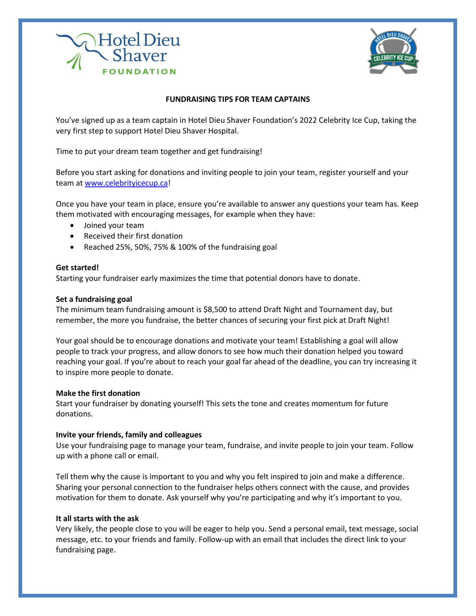



# **FUNDRAISING TIPS FOR TEAM CAPTAINS**

You've signed up as a team captain in Hotel Dieu Shaver Foundation's 2022 Celebrity Ice Cup, taking the very first step to support Hotel Dieu Shaver Hospital.

Time to put your dream team together and get fundraising!

Before you start asking for donations and inviting people to join your team, register yourself and your team at [www.celebrityicecup.ca!](http://www.celebrityicecup.ca/)

Once you have your team in place, ensure you're available to answer any questions your team has. Keep them motivated with encouraging messages, for example when they have:

- Joined your team
- Received their first donation
- Reached 25%, 50%, 75% & 100% of the fundraising goal

### **Get started!**

Starting your fundraiser early maximizes the time that potential donors have to donate.

#### **Set a fundraising goal**

The minimum team fundraising amount is \$8,500 to attend Draft Night and Tournament day, but remember, the more you fundraise, the better chances of securing your first pick at Draft Night!

Your goal should be to encourage donations and motivate your team! Establishing a goal will allow people to track your progress, and allow donors to see how much their donation helped you toward reaching your goal. If you're about to reach your goal far ahead of the deadline, you can try increasing it to inspire more people to donate.

#### **Make the first donation**

Start your fundraiser by donating yourself! This sets the tone and creates momentum for future donations.

# **Invite your friends, family and colleagues**

Use your fundraising page to manage your team, fundraise, and invite people to join your team. Follow up with a phone call or email.

Tell them why the cause is important to you and why you felt inspired to join and make a difference. Sharing your personal connection to the fundraiser helps others connect with the cause, and provides motivation for them to donate. Ask yourself why you're participating and why it's important to you.

#### **It all starts with the ask**

Very likely, the people close to you will be eager to help you. Send a personal email, text message, social message, etc. to your friends and family. Follow-up with an email that includes the direct link to your fundraising page.